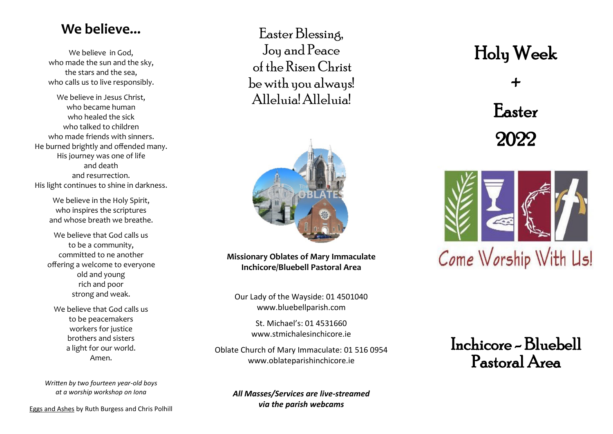#### **[We believe...](http://audioboo.fm/boos/339341-xv-easter-dawn)**

We believe in God, who made the sun and the sky, the stars and the sea, who calls us to live responsibly.

We believe in Jesus Christ, who became human who healed the sick who talked to children who made friends with sinners. He burned brightly and offended many. His journey was one of life and death and resurrection. His light continues to shine in darkness.

> We believe in the Holy Spirit, who inspires the scriptures and whose breath we breathe.

We believe that God calls us to be a community, committed to ne another offering a welcome to everyone old and young rich and poor strong and weak.

We believe that God calls us to be peacemakers workers for justice brothers and sisters a light for our world. Amen.

*Written by two fourteen year-old boys at a worship workshop on Iona*

Eggs and Ashes by Ruth Burgess and Chris Polhill

Easter Blessing, Joy and Peace of the Risen Christ be with you always! Alleluia! Alleluia!



**Missionary Oblates of Mary Immaculate Inchicore/Bluebell Pastoral Area**

Our Lady of the Wayside: 01 4501040 www.bluebellparish.com

> St. Michael's: 01 4531660 www.stmichalesinchicore.ie

Oblate Church of Mary Immaculate: 01 516 0954 www.oblateparishinchicore.ie

*All Masses/Services are live-streamed via the parish webcams*

# Holy Week

+ Easter 2022



Inchicore - Bluebell Pastoral Area